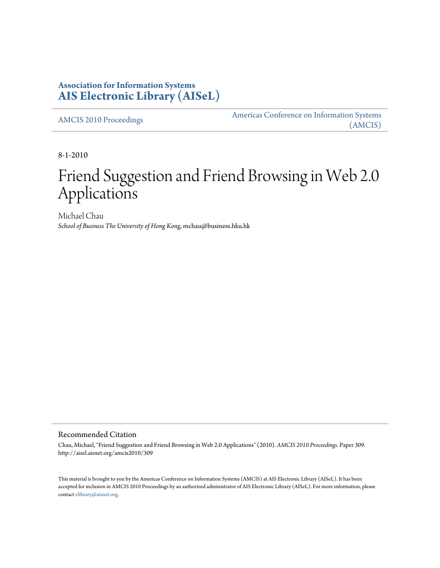### **Association for Information Systems [AIS Electronic Library \(AISeL\)](http://aisel.aisnet.org)**

[AMCIS 2010 Proceedings](http://aisel.aisnet.org/amcis2010) [Americas Conference on Information Systems](http://aisel.aisnet.org/amcis) [\(AMCIS\)](http://aisel.aisnet.org/amcis)

8-1-2010

# Friend Suggestion and Friend Browsing in Web 2.0 Applications

Michael Chau *School of Business The University of Hong Kong*, mchau@business.hku.hk

#### Recommended Citation

Chau, Michael, "Friend Suggestion and Friend Browsing in Web 2.0 Applications" (2010). *AMCIS 2010 Proceedings.* Paper 309. http://aisel.aisnet.org/amcis2010/309

This material is brought to you by the Americas Conference on Information Systems (AMCIS) at AIS Electronic Library (AISeL). It has been accepted for inclusion in AMCIS 2010 Proceedings by an authorized administrator of AIS Electronic Library (AISeL). For more information, please contact [elibrary@aisnet.org.](mailto:elibrary@aisnet.org>)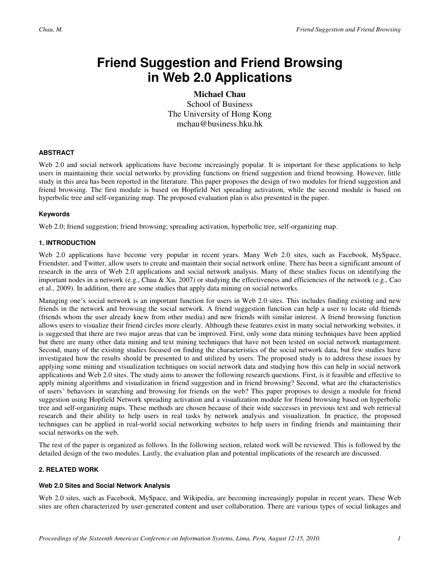## **Friend Suggestion and Friend Browsing in Web 2.0 Applications**

**Michael Chau**  School of Business The University of Hong Kong mchau@business.hku.hk

#### **ABSTRACT**

Web 2.0 and social network applications have become increasingly popular. It is important for these applications to help users in maintaining their social networks by providing functions on friend suggestion and friend browsing. However, little study in this area has been reported in the literature. This paper proposes the design of two modules for friend suggestion and friend browsing. The first module is based on Hopfield Net spreading activation, while the second module is based on hyperbolic tree and self-organizing map. The proposed evaluation plan is also presented in the paper.

#### **Keywords**

Web 2.0; friend suggestion; friend browsing; spreading activation, hyperbolic tree, self-organizing map.

#### **1. INTRODUCTION**

Web 2.0 applications have become very popular in recent years. Many Web 2.0 sites, such as Facebook, MySpace, Friendster, and Twitter, allow users to create and maintain their social network online. There has been a significant amount of research in the area of Web 2.0 applications and social network analysis. Many of these studies focus on identifying the important nodes in a network (e.g., Chau & Xu, 2007) or studying the effectiveness and efficiencies of the network (e.g., Cao et al., 2009). In addition, there are some studies that apply data mining on social networks.

Managing one's social network is an important function for users in Web 2.0 sites. This includes finding existing and new friends in the network and browsing the social network. A friend suggestion function can help a user to locate old friends (friends whom the user already knew from other media) and new friends with similar interest. A friend browsing function allows users to visualize their friend circles more clearly. Although these features exist in many social networking websites, it is suggested that there are two major areas that can be improved. First, only some data mining techniques have been applied but there are many other data mining and text mining techniques that have not been tested on social network management. Second, many of the existing studies focused on finding the characteristics of the social network data, but few studies have investigated how the results should be presented to and utilized by users. The proposed study is to address these issues by applying some mining and visualization techniques on social network data and studying how this can help in social network applications and Web 2.0 sites. The study aims to answer the following research questions. First, is it feasible and effective to apply mining algorithms and visualization in friend suggestion and in friend browsing? Second, what are the characteristics of users' behaviors in searching and browsing for friends on the web? This paper proposes to design a module for friend suggestion using Hopfield Network spreading activation and a visualization module for friend browsing based on hyperbolic tree and self-organizing maps. These methods are chosen because of their wide successes in previous text and web retrieval research and their ability to help users in real tasks by network analysis and visualization. In practice, the proposed techniques can be applied in real-world social networking websites to help users in finding friends and maintaining their social networks on the web.

The rest of the paper is organized as follows. In the following section, related work will be reviewed. This is followed by the detailed design of the two modules. Lastly, the evaluation plan and potential implications of the research are discussed.

#### **2. RELATED WORK**

#### **Web 2.0 Sites and Social Network Analysis**

Web 2.0 sites, such as Facebook, MySpace, and Wikipedia, are becoming increasingly popular in recent years. These Web sites are often characterized by user-generated content and user collaboration. There are various types of social linkages and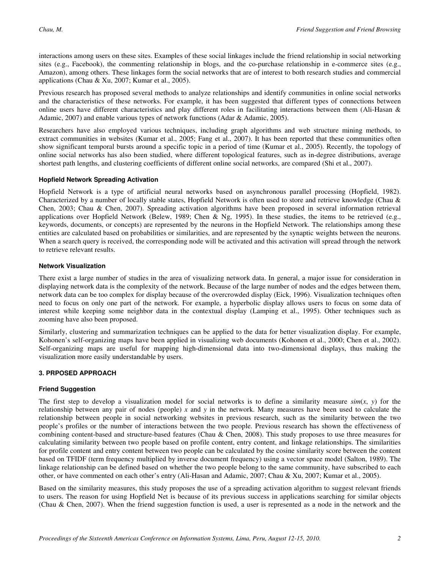interactions among users on these sites. Examples of these social linkages include the friend relationship in social networking sites (e.g., Facebook), the commenting relationship in blogs, and the co-purchase relationship in e-commerce sites (e.g., Amazon), among others. These linkages form the social networks that are of interest to both research studies and commercial applications (Chau & Xu, 2007; Kumar et al., 2005).

Previous research has proposed several methods to analyze relationships and identify communities in online social networks and the characteristics of these networks. For example, it has been suggested that different types of connections between online users have different characteristics and play different roles in facilitating interactions between them (Ali-Hasan & Adamic, 2007) and enable various types of network functions (Adar & Adamic, 2005).

Researchers have also employed various techniques, including graph algorithms and web structure mining methods, to extract communities in websites (Kumar et al., 2005; Fang et al., 2007). It has been reported that these communities often show significant temporal bursts around a specific topic in a period of time (Kumar et al., 2005). Recently, the topology of online social networks has also been studied, where different topological features, such as in-degree distributions, average shortest path lengths, and clustering coefficients of different online social networks, are compared (Shi et al., 2007).

#### **Hopfield Network Spreading Activation**

Hopfield Network is a type of artificial neural networks based on asynchronous parallel processing (Hopfield, 1982). Characterized by a number of locally stable states, Hopfield Network is often used to store and retrieve knowledge (Chau & Chen, 2003; Chau & Chen, 2007). Spreading activation algorithms have been proposed in several information retrieval applications over Hopfield Network (Belew, 1989; Chen & Ng, 1995). In these studies, the items to be retrieved (e.g., keywords, documents, or concepts) are represented by the neurons in the Hopfield Network. The relationships among these entities are calculated based on probabilities or similarities, and are represented by the synaptic weights between the neurons. When a search query is received, the corresponding node will be activated and this activation will spread through the network to retrieve relevant results.

#### **Network Visualization**

There exist a large number of studies in the area of visualizing network data. In general, a major issue for consideration in displaying network data is the complexity of the network. Because of the large number of nodes and the edges between them, network data can be too complex for display because of the overcrowded display (Eick, 1996). Visualization techniques often need to focus on only one part of the network. For example, a hyperbolic display allows users to focus on some data of interest while keeping some neighbor data in the contextual display (Lamping et al., 1995). Other techniques such as zooming have also been proposed.

Similarly, clustering and summarization techniques can be applied to the data for better visualization display. For example, Kohonen's self-organizing maps have been applied in visualizing web documents (Kohonen et al., 2000; Chen et al., 2002). Self-organizing maps are useful for mapping high-dimensional data into two-dimensional displays, thus making the visualization more easily understandable by users.

#### **3. PRPOSED APPROACH**

#### **Friend Suggestion**

The first step to develop a visualization model for social networks is to define a similarity measure  $sim(x, y)$  for the relationship between any pair of nodes (people) *x* and *y* in the network. Many measures have been used to calculate the relationship between people in social networking websites in previous research, such as the similarity between the two people's profiles or the number of interactions between the two people. Previous research has shown the effectiveness of combining content-based and structure-based features (Chau & Chen, 2008). This study proposes to use three measures for calculating similarity between two people based on profile content, entry content, and linkage relationships. The similarities for profile content and entry content between two people can be calculated by the cosine similarity score between the content based on TFIDF (term frequency multiplied by inverse document frequency) using a vector space model (Salton, 1989). The linkage relationship can be defined based on whether the two people belong to the same community, have subscribed to each other, or have commented on each other's entry (Ali-Hasan and Adamic, 2007; Chau & Xu, 2007; Kumar et al., 2005).

Based on the similarity measures, this study proposes the use of a spreading activation algorithm to suggest relevant friends to users. The reason for using Hopfield Net is because of its previous success in applications searching for similar objects (Chau & Chen, 2007). When the friend suggestion function is used, a user is represented as a node in the network and the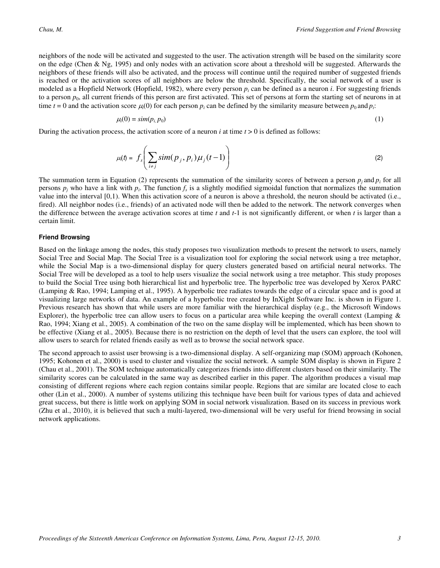neighbors of the node will be activated and suggested to the user. The activation strength will be based on the similarity score on the edge (Chen & Ng, 1995) and only nodes with an activation score about a threshold will be suggested. Afterwards the neighbors of these friends will also be activated, and the process will continue until the required number of suggested friends is reached or the activation scores of all neighbors are below the threshold. Specifically, the social network of a user is modeled as a Hopfield Network (Hopfield, 1982), where every person  $p_i$  can be defined as a neuron *i*. For suggesting friends to a person  $p_0$ , all current friends of this person are first activated. This set of persons at form the starting set of neurons in at time  $t = 0$  and the activation score  $\mu_i(0)$  for each person  $p_i$  can be defined by the similarity measure between  $p_0$  and  $p_i$ :

$$
\mu_i(0) = \text{sim}(p_i, p_0) \tag{1}
$$

During the activation process, the activation score of a neuron *i* at time *t* > 0 is defined as follows:

$$
\mu(t) = f_s\left(\sum_{i \neq j} sim(p_j, p_i) \mu_j(t-1)\right)
$$
 (2)

The summation term in Equation (2) represents the summation of the similarity scores of between a person  $p_j$  and  $p_i$  for all persons  $p_j$  who have a link with  $p_i$ . The function  $f_s$  is a slightly modified sigmoidal function that normalizes the summation value into the interval [0,1). When this activation score of a neuron is above a threshold, the neuron should be activated (i.e., fired). All neighbor nodes (i.e., friends) of an activated node will then be added to the network. The network converges when the difference between the average activation scores at time *t* and *t*-1 is not significantly different, or when *t* is larger than a certain limit.

#### **Friend Browsing**

Based on the linkage among the nodes, this study proposes two visualization methods to present the network to users, namely Social Tree and Social Map. The Social Tree is a visualization tool for exploring the social network using a tree metaphor, while the Social Map is a two-dimensional display for query clusters generated based on artificial neural networks. The Social Tree will be developed as a tool to help users visualize the social network using a tree metaphor. This study proposes to build the Social Tree using both hierarchical list and hyperbolic tree. The hyperbolic tree was developed by Xerox PARC (Lamping & Rao, 1994; Lamping et al., 1995). A hyperbolic tree radiates towards the edge of a circular space and is good at visualizing large networks of data. An example of a hyperbolic tree created by InXight Software Inc. is shown in Figure 1. Previous research has shown that while users are more familiar with the hierarchical display (e.g., the Microsoft Windows Explorer), the hyperbolic tree can allow users to focus on a particular area while keeping the overall context (Lamping  $\&$ Rao, 1994; Xiang et al., 2005). A combination of the two on the same display will be implemented, which has been shown to be effective (Xiang et al., 2005). Because there is no restriction on the depth of level that the users can explore, the tool will allow users to search for related friends easily as well as to browse the social network space.

The second approach to assist user browsing is a two-dimensional display. A self-organizing map (SOM) approach (Kohonen, 1995; Kohonen et al., 2000) is used to cluster and visualize the social network. A sample SOM display is shown in Figure 2 (Chau et al., 2001). The SOM technique automatically categorizes friends into different clusters based on their similarity. The similarity scores can be calculated in the same way as described earlier in this paper. The algorithm produces a visual map consisting of different regions where each region contains similar people. Regions that are similar are located close to each other (Lin et al., 2000). A number of systems utilizing this technique have been built for various types of data and achieved great success, but there is little work on applying SOM in social network visualization. Based on its success in previous work (Zhu et al., 2010), it is believed that such a multi-layered, two-dimensional will be very useful for friend browsing in social network applications.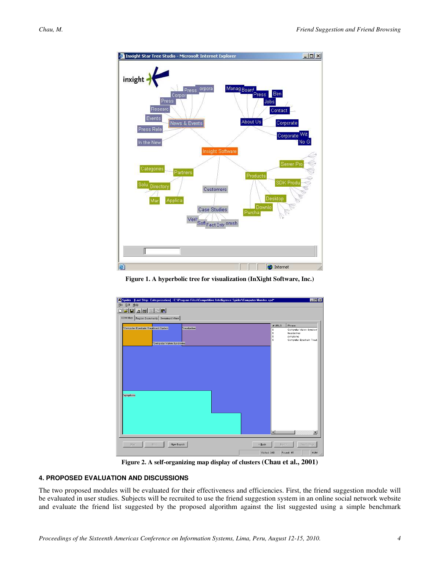

**Figure 1. A hyperbolic tree for visualization (InXight Software, Inc.)** 



**Figure 2. A self-organizing map display of clusters (Chau et al., 2001)**

#### **4. PROPOSED EVALUATION AND DISCUSSIONS**

The two proposed modules will be evaluated for their effectiveness and efficiencies. First, the friend suggestion module will be evaluated in user studies. Subjects will be recruited to use the friend suggestion system in an online social network website and evaluate the friend list suggested by the proposed algorithm against the list suggested using a simple benchmark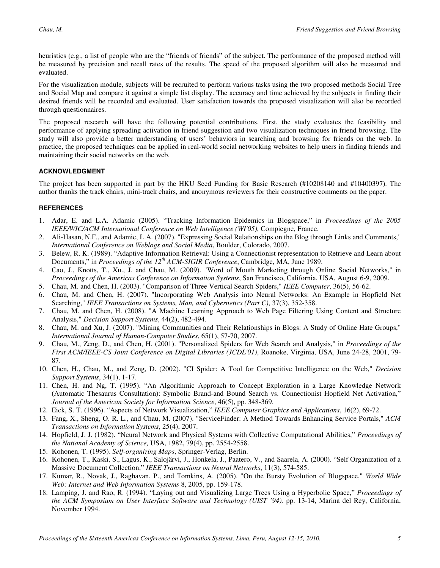heuristics (e.g., a list of people who are the "friends of friends" of the subject. The performance of the proposed method will be measured by precision and recall rates of the results. The speed of the proposed algorithm will also be measured and evaluated.

For the visualization module, subjects will be recruited to perform various tasks using the two proposed methods Social Tree and Social Map and compare it against a simple list display. The accuracy and time achieved by the subjects in finding their desired friends will be recorded and evaluated. User satisfaction towards the proposed visualization will also be recorded through questionnaires.

The proposed research will have the following potential contributions. First, the study evaluates the feasibility and performance of applying spreading activation in friend suggestion and two visualization techniques in friend browsing. The study will also provide a better understanding of users' behaviors in searching and browsing for friends on the web. In practice, the proposed techniques can be applied in real-world social networking websites to help users in finding friends and maintaining their social networks on the web.

#### **ACKNOWLEDGMENT**

The project has been supported in part by the HKU Seed Funding for Basic Research (#10208140 and #10400397). The author thanks the track chairs, mini-track chairs, and anonymous reviewers for their constructive comments on the paper.

#### **REFERENCES**

- 1. Adar, E. and L.A. Adamic (2005). "Tracking Information Epidemics in Blogspace," in *Proceedings of the 2005 IEEE/WIC/ACM International Conference on Web Intelligence (WI'05)*, Compiegne, France.
- 2. Ali-Hasan, N.F., and Adamic, L.A. (2007). "Expressing Social Relationships on the Blog through Links and Comments," *International Conference on Weblogs and Social Media*, Boulder, Colorado, 2007.
- 3. Belew, R. K. (1989). "Adaptive Information Retrieval: Using a Connectionist representation to Retrieve and Learn about Documents," in *Proceedings of the 12th ACM-SIGIR Conference*, Cambridge, MA, June 1989.
- 4. Cao, J., Knotts, T., Xu., J. and Chau, M. (2009). "Word of Mouth Marketing through Online Social Networks," in *Proceedings of the Americas Conference on Information Systems*, San Francisco, California, USA, August 6-9, 2009.
- 5. Chau, M. and Chen, H. (2003). "Comparison of Three Vertical Search Spiders," *IEEE Computer*, 36(5), 56-62.
- 6. Chau, M. and Chen, H. (2007). "Incorporating Web Analysis into Neural Networks: An Example in Hopfield Net Searching," *IEEE Transactions on Systems, Man, and Cybernetics (Part C)*, 37(3), 352-358.
- 7. Chau, M. and Chen, H. (2008). "A Machine Learning Approach to Web Page Filtering Using Content and Structure Analysis," *Decision Support Systems*, 44(2), 482-494.
- 8. Chau, M. and Xu, J. (2007). "Mining Communities and Their Relationships in Blogs: A Study of Online Hate Groups," *International Journal of Human-Computer Studies*, 65(1), 57-70, 2007.
- 9. Chau, M., Zeng, D., and Chen, H. (2001). "Personalized Spiders for Web Search and Analysis," in *Proceedings of the First ACM/IEEE-CS Joint Conference on Digital Libraries (JCDL'01)*, Roanoke, Virginia, USA, June 24-28, 2001, 79- 87.
- 10. Chen, H., Chau, M., and Zeng, D. (2002). "CI Spider: A Tool for Competitive Intelligence on the Web," *Decision Support Systems*, 34(1), 1-17.
- 11. Chen, H. and Ng, T. (1995). "An Algorithmic Approach to Concept Exploration in a Large Knowledge Network (Automatic Thesaurus Consultation): Symbolic Brand-and Bound Search vs. Connectionist Hopfield Net Activation," *Journal of the American Society for Information Science*, 46(5), pp. 348-369.
- 12. Eick, S. T. (1996). "Aspects of Network Visualization," *IEEE Computer Graphics and Applications*, 16(2), 69-72.
- 13. Fang, X., Sheng, O. R. L., and Chau, M. (2007). "ServiceFinder: A Method Towards Enhancing Service Portals," *ACM Transactions on Information Systems*, 25(4), 2007.
- 14. Hopfield, J. J. (1982). "Neural Network and Physical Systems with Collective Computational Abilities," *Proceedings of the National Academy of Science,* USA, 1982, 79(4), pp. 2554-2558.
- 15. Kohonen, T. (1995). *Self-organizing Maps*, Springer-Verlag, Berlin.
- 16. Kohonen, T., Kaski, S., Lagus, K., Salojärvi, J., Honkela, J., Paatero, V., and Saarela, A. (2000). "Self Organization of a Massive Document Collection," *IEEE Transactions on Neural Networks*, 11(3), 574-585.
- 17. Kumar, R., Novak, J., Raghavan, P., and Tomkins, A. (2005). "On the Bursty Evolution of Blogspace," *World Wide Web: Internet and Web Information Systems* 8, 2005, pp. 159-178.
- 18. Lamping, J. and Rao, R. (1994). "Laying out and Visualizing Large Trees Using a Hyperbolic Space," *Proceedings of the ACM Symposium on User Interface Software and Technology (UIST '94),* pp. 13-14, Marina del Rey, California, November 1994.